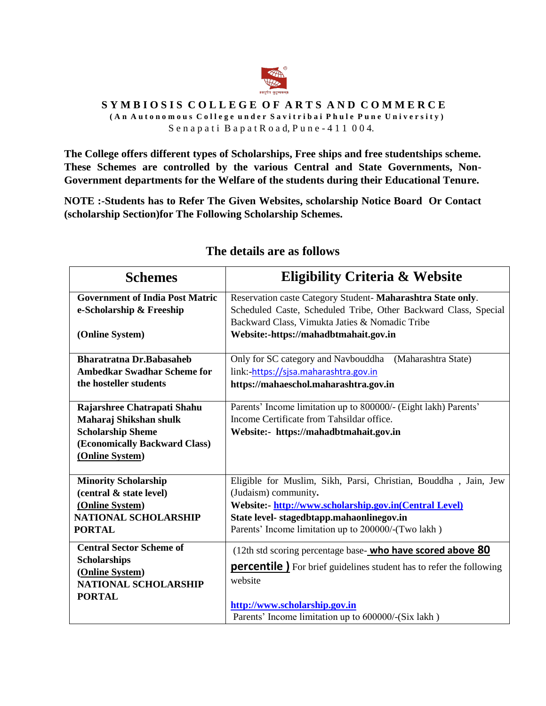

#### SYMBIOSIS COLLEGE OF ARTS AND COMMERCE **( A n A u t o n o m o u s C o l l e g e u n d e r S a v i t r i b a i P h u l e P u n e U n i v e r s i t y )**

S e n a p a t i B a p a t R o a d, P u n e - 4 1 1 0 0 4.

**The College offers different types of Scholarships, Free ships and free studentships scheme. These Schemes are controlled by the various Central and State Governments, Non-Government departments for the Welfare of the students during their Educational Tenure.** 

**NOTE :-Students has to Refer The Given Websites, scholarship Notice Board Or Contact (scholarship Section)for The Following Scholarship Schemes.**

| <b>Schemes</b>                                                                                                                        | <b>Eligibility Criteria &amp; Website</b>                                                                                                                                                                                |
|---------------------------------------------------------------------------------------------------------------------------------------|--------------------------------------------------------------------------------------------------------------------------------------------------------------------------------------------------------------------------|
| <b>Government of India Post Matric</b><br>e-Scholarship & Freeship<br>(Online System)                                                 | Reservation caste Category Student-Maharashtra State only.<br>Scheduled Caste, Scheduled Tribe, Other Backward Class, Special<br>Backward Class, Vimukta Jaties & Nomadic Tribe<br>Website:-https://mahadbtmahait.gov.in |
| <b>Bharatratna Dr.Babasaheb</b>                                                                                                       | Only for SC category and Navbouddha (Maharashtra State)                                                                                                                                                                  |
| <b>Ambedkar Swadhar Scheme for</b>                                                                                                    | link:-https://sjsa.maharashtra.gov.in                                                                                                                                                                                    |
| the hosteller students                                                                                                                | https://mahaeschol.maharashtra.gov.in                                                                                                                                                                                    |
| Rajarshree Chatrapati Shahu<br>Maharaj Shikshan shulk<br><b>Scholarship Sheme</b><br>(Economically Backward Class)<br>(Online System) | Parents' Income limitation up to 800000/- (Eight lakh) Parents'<br>Income Certificate from Tahsildar office.<br>Website:- https://mahadbtmahait.gov.in                                                                   |
| <b>Minority Scholarship</b>                                                                                                           | Eligible for Muslim, Sikh, Parsi, Christian, Bouddha, Jain, Jew                                                                                                                                                          |
| (central & state level)                                                                                                               | (Judaism) community.                                                                                                                                                                                                     |
| (Online System)                                                                                                                       | Website: http://www.scholarship.gov.in(Central Level)                                                                                                                                                                    |
| <b>NATIONAL SCHOLARSHIP</b>                                                                                                           | State level- stagedbtapp.mahaonlinegov.in                                                                                                                                                                                |
| <b>PORTAL</b>                                                                                                                         | Parents' Income limitation up to 200000/-(Two lakh)                                                                                                                                                                      |
| <b>Central Sector Scheme of</b>                                                                                                       | (12th std scoring percentage base- <b>who have scored above 80</b>                                                                                                                                                       |
| <b>Scholarships</b>                                                                                                                   | <b>percentile</b> ) For brief guidelines student has to refer the following                                                                                                                                              |
| (Online System)                                                                                                                       | website                                                                                                                                                                                                                  |
| <b>NATIONAL SCHOLARSHIP</b>                                                                                                           | http://www.scholarship.gov.in                                                                                                                                                                                            |
| <b>PORTAL</b>                                                                                                                         | Parents' Income limitation up to 600000/-(Six lakh)                                                                                                                                                                      |

### **The details are as follows**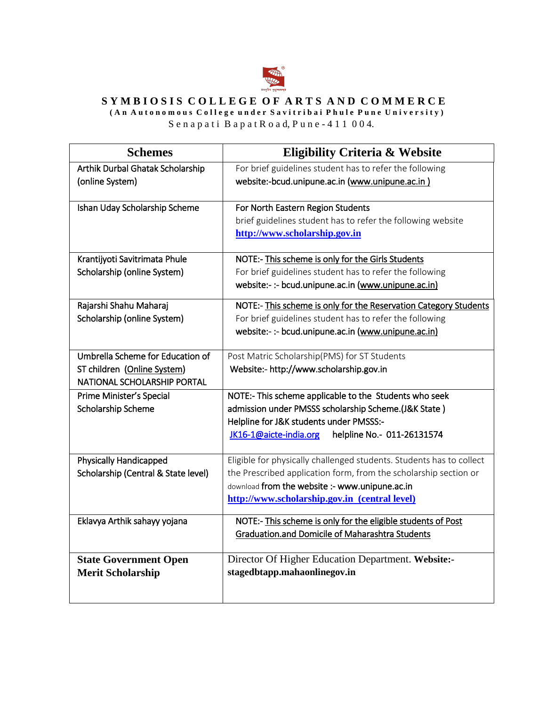

## SYMBIOSIS COLLEGE OF ARTS AND COMMERCE

**( A n A u t o n o m o u s C o l l e g e u n d e r S a v i t r i b a i P h u l e P u n e U n i v e r s i t y )**

 $S$ e n a p a t i  $B$  a p a t  $R$  o a d,  $P$ u n e - 4 1 1 0 0 4.

| <b>Schemes</b>                      | <b>Eligibility Criteria &amp; Website</b>                             |
|-------------------------------------|-----------------------------------------------------------------------|
| Arthik Durbal Ghatak Scholarship    | For brief guidelines student has to refer the following               |
| (online System)                     | website:-bcud.unipune.ac.in (www.unipune.ac.in)                       |
|                                     |                                                                       |
| Ishan Uday Scholarship Scheme       | For North Eastern Region Students                                     |
|                                     | brief guidelines student has to refer the following website           |
|                                     | http://www.scholarship.gov.in                                         |
| Krantijyoti Savitrimata Phule       | NOTE:- This scheme is only for the Girls Students                     |
| Scholarship (online System)         | For brief guidelines student has to refer the following               |
|                                     | website:- :- bcud.unipune.ac.in (www.unipune.ac.in)                   |
| Rajarshi Shahu Maharaj              | NOTE:- This scheme is only for the Reservation Category Students      |
| Scholarship (online System)         | For brief guidelines student has to refer the following               |
|                                     | website:- :- bcud.unipune.ac.in (www.unipune.ac.in)                   |
|                                     |                                                                       |
| Umbrella Scheme for Education of    | Post Matric Scholarship(PMS) for ST Students                          |
| ST children (Online System)         | Website:- http://www.scholarship.gov.in                               |
| NATIONAL SCHOLARSHIP PORTAL         |                                                                       |
| Prime Minister's Special            | NOTE:- This scheme applicable to the Students who seek                |
| Scholarship Scheme                  | admission under PMSSS scholarship Scheme.(J&K State)                  |
|                                     | Helpline for J&K students under PMSSS:-<br>helpline No.- 011-26131574 |
|                                     | JK16-1@aicte-india.org                                                |
| <b>Physically Handicapped</b>       | Eligible for physically challenged students. Students has to collect  |
| Scholarship (Central & State level) | the Prescribed application form, from the scholarship section or      |
|                                     | download from the website :- www.unipune.ac.in                        |
|                                     | http://www.scholarship.gov.in (central level)                         |
| Eklavya Arthik sahayy yojana        | NOTE:- This scheme is only for the eligible students of Post          |
|                                     | <b>Graduation.and Domicile of Maharashtra Students</b>                |
|                                     |                                                                       |
| <b>State Government Open</b>        | Director Of Higher Education Department. Website:-                    |
| <b>Merit Scholarship</b>            | stagedbtapp.mahaonlinegov.in                                          |
|                                     |                                                                       |
|                                     |                                                                       |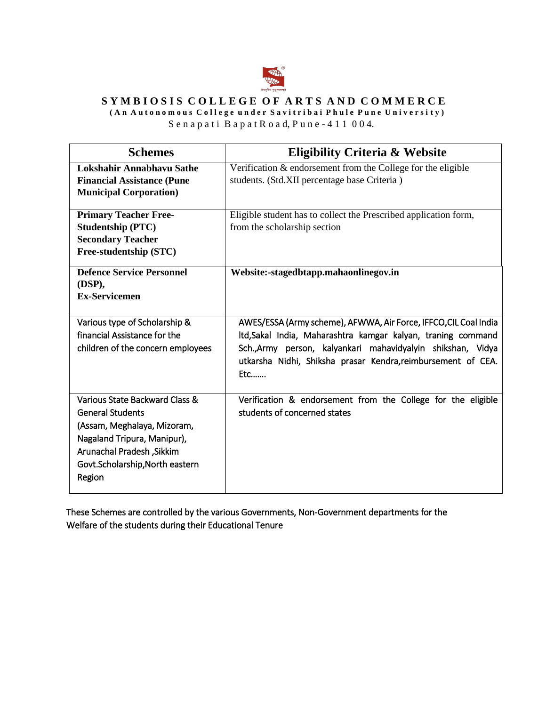

## SYMBIOSIS COLLEGE OF ARTS AND COMMERCE

**( A n A u t o n o m o u s C o l l e g e u n d e r S a v i t r i b a i P h u l e P u n e U n i v e r s i t y )**

S e n a p a t i B a p a t R o a d, P u n e - 4 1 1 0 0 4.

| <b>Schemes</b>                                       | <b>Eligibility Criteria &amp; Website</b>                        |
|------------------------------------------------------|------------------------------------------------------------------|
| Lokshahir Annabhavu Sathe                            | Verification & endorsement from the College for the eligible     |
| <b>Financial Assistance (Pune</b>                    | students. (Std.XII percentage base Criteria)                     |
| <b>Municipal Corporation</b> )                       |                                                                  |
|                                                      |                                                                  |
| <b>Primary Teacher Free-</b>                         | Eligible student has to collect the Prescribed application form, |
| <b>Studentship (PTC)</b><br><b>Secondary Teacher</b> | from the scholarship section                                     |
|                                                      |                                                                  |
| Free-studentship (STC)                               |                                                                  |
| <b>Defence Service Personnel</b>                     | Website:-stagedbtapp.mahaonlinegov.in                            |
| (DSP),                                               |                                                                  |
| <b>Ex-Servicemen</b>                                 |                                                                  |
|                                                      |                                                                  |
| Various type of Scholarship &                        | AWES/ESSA (Army scheme), AFWWA, Air Force, IFFCO, CIL Coal India |
| financial Assistance for the                         | Itd, Sakal India, Maharashtra kamgar kalyan, traning command     |
| children of the concern employees                    | Sch., Army person, kalyankari mahavidyalyin shikshan, Vidya      |
|                                                      | utkarsha Nidhi, Shiksha prasar Kendra, reimbursement of CEA.     |
|                                                      | Etc                                                              |
|                                                      |                                                                  |
| Various State Backward Class &                       | Verification & endorsement from the College for the eligible     |
| <b>General Students</b>                              | students of concerned states                                     |
| (Assam, Meghalaya, Mizoram,                          |                                                                  |
| Nagaland Tripura, Manipur),                          |                                                                  |
| Arunachal Pradesh, Sikkim                            |                                                                  |
| Govt.Scholarship, North eastern                      |                                                                  |
| Region                                               |                                                                  |
|                                                      |                                                                  |

These Schemes are controlled by the various Governments, Non-Government departments for the Welfare of the students during their Educational Tenure